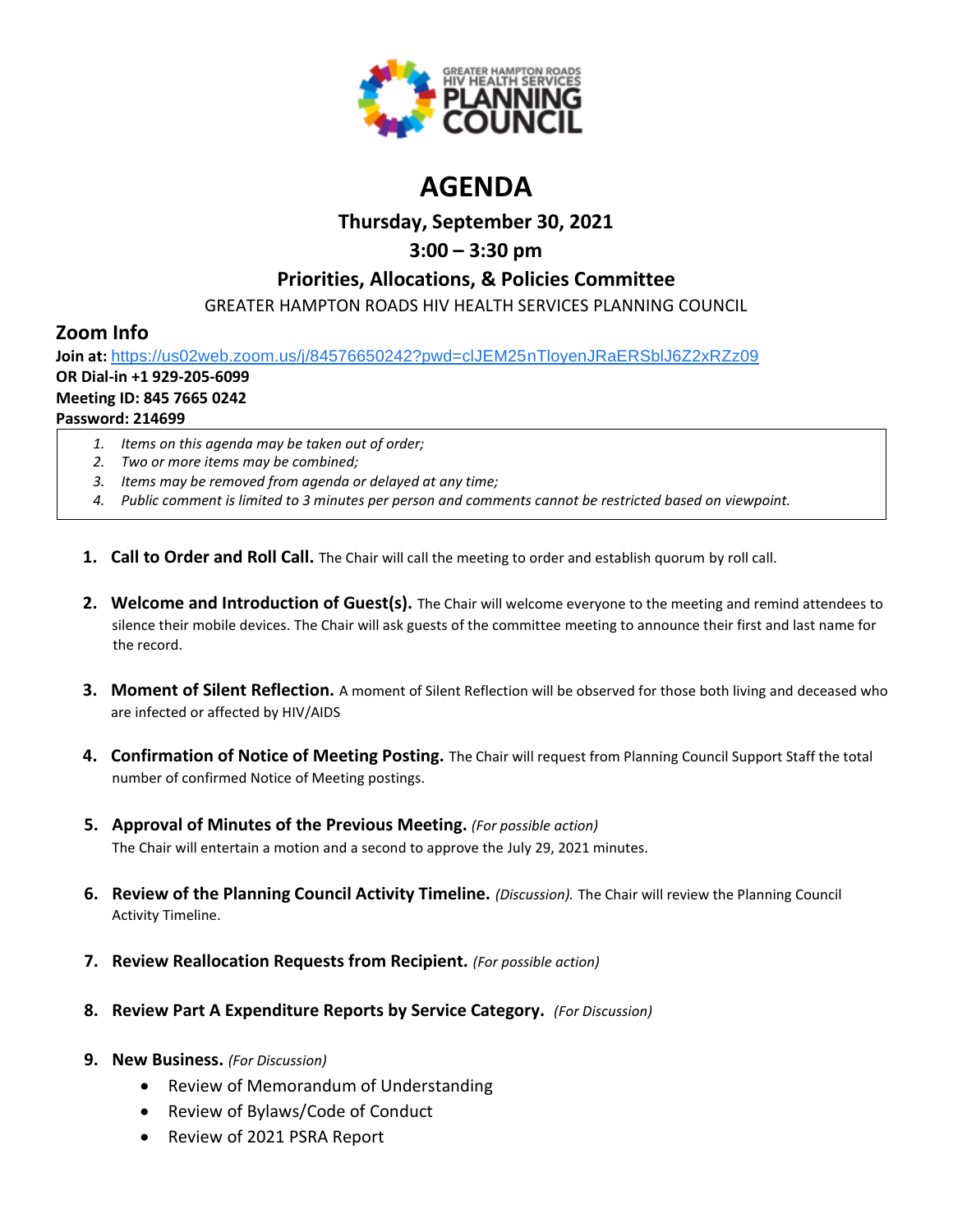

# **AGENDA**

## **Thursday, September 30, 2021**

## **3:00 – 3:30 pm**

### **Priorities, Allocations, & Policies Committee**

GREATER HAMPTON ROADS HIV HEALTH SERVICES PLANNING COUNCIL

# **Zoom Info**

**Join at:** [https://us02web.zoom.us/j/84576650242?pwd=clJEM25nTloyenJRaERSblJ6Z2xRZz09](https://www.google.com/url?q=https://us02web.zoom.us/j/84576650242?pwd%3DclJEM25nTloyenJRaERSblJ6Z2xRZz09&sa=D&source=calendar&ust=1616595038982000&usg=AOvVaw3sK6cNtpF8kGuryyzK0Ew9)

# **OR Dial-in +1 929-205-6099**

### **Meeting ID: 845 7665 0242**

### **Password: 214699**

- *1. Items on this agenda may be taken out of order;*
- *2. Two or more items may be combined;*
- *3. Items may be removed from agenda or delayed at any time;*
- *4. Public comment is limited to 3 minutes per person and comments cannot be restricted based on viewpoint.*
- **1. Call to Order and Roll Call.** The Chair will call the meeting to order and establish quorum by roll call.
- **2. Welcome and Introduction of Guest(s).** The Chair will welcome everyone to the meeting and remind attendees to silence their mobile devices. The Chair will ask guests of the committee meeting to announce their first and last name for the record.
- **3. Moment of Silent Reflection.** A moment of Silent Reflection will be observed for those both living and deceased who are infected or affected by HIV/AIDS
- **4. Confirmation of Notice of Meeting Posting.** The Chair will request from Planning Council Support Staff the total number of confirmed Notice of Meeting postings.
- **5. Approval of Minutes of the Previous Meeting.** *(For possible action)* The Chair will entertain a motion and a second to approve the July 29, 2021 minutes.
- **6. Review of the Planning Council Activity Timeline.** *(Discussion).* The Chair will review the Planning Council Activity Timeline.
- **7. Review Reallocation Requests from Recipient.** *(For possible action)*
- **8. Review Part A Expenditure Reports by Service Category.** *(For Discussion)*
- **9. New Business.** *(For Discussion)*
	- Review of Memorandum of Understanding
	- Review of Bylaws/Code of Conduct
	- Review of 2021 PSRA Report